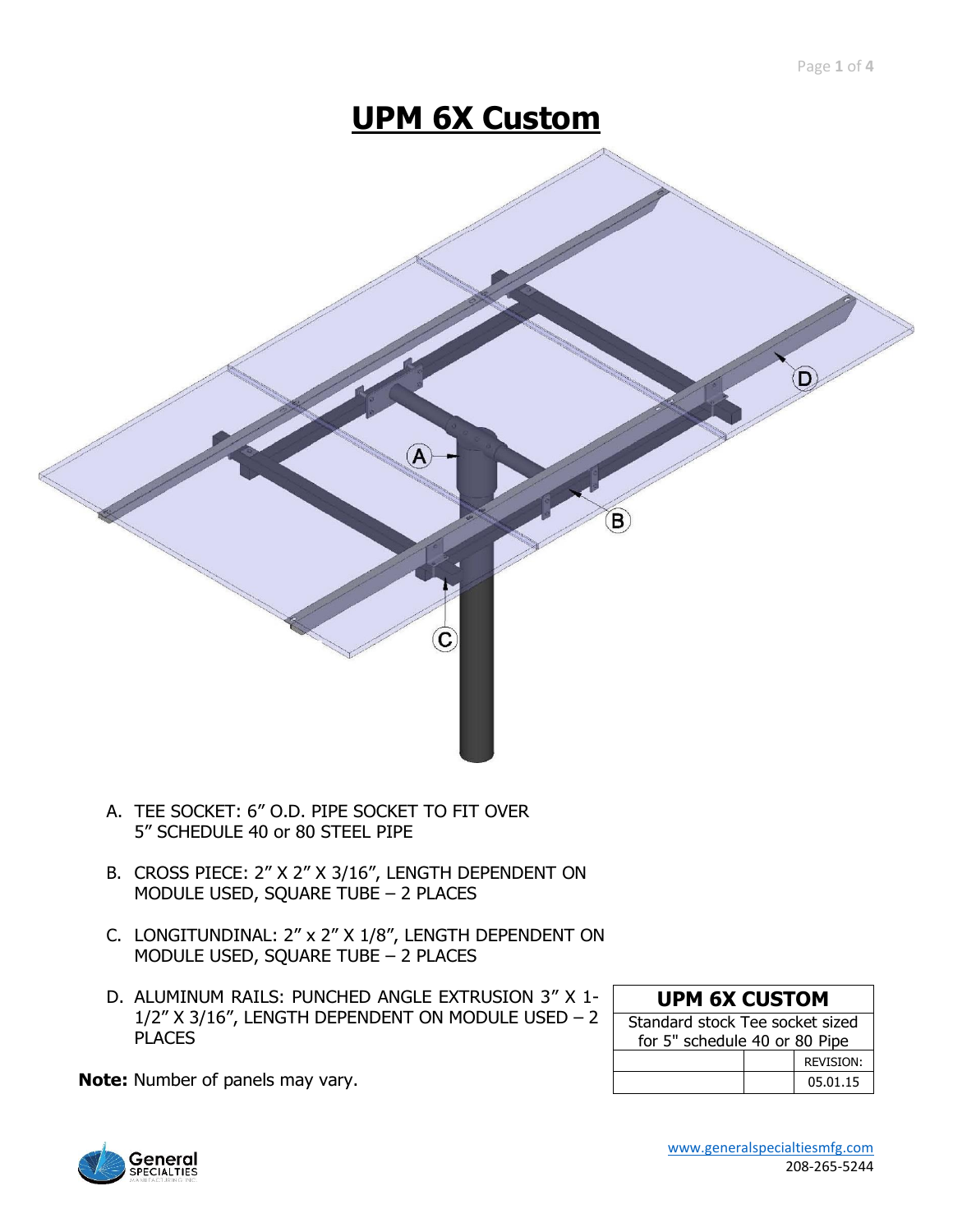# **UPM 6X Custom**



- A. TEE SOCKET: 6" O.D. PIPE SOCKET TO FIT OVER 5" SCHEDULE 40 or 80 STEEL PIPE
- B. CROSS PIECE: 2" X 2" X 3/16", LENGTH DEPENDENT ON MODULE USED, SQUARE TUBE – 2 PLACES
- C. LONGITUNDINAL: 2" x 2" X 1/8", LENGTH DEPENDENT ON MODULE USED, SQUARE TUBE – 2 PLACES
- D. ALUMINUM RAILS: PUNCHED ANGLE EXTRUSION 3" X 1- 1/2" X 3/16", LENGTH DEPENDENT ON MODULE USED – 2 PLACES

|  | <b>UPM 6X CUSTOM</b>          |  |
|--|-------------------------------|--|
|  | tandard stock Tee socket size |  |

| Standard stock Tee socket sized |  |                  |  |
|---------------------------------|--|------------------|--|
| for 5" schedule 40 or 80 Pipe   |  |                  |  |
|                                 |  | <b>REVISION:</b> |  |
|                                 |  | 05.01.15         |  |

**Note:** Number of panels may vary.



 [www.generalspecialtiesmfg.com](http://www.generalspecialtiesmfg.com/) 208-265-5244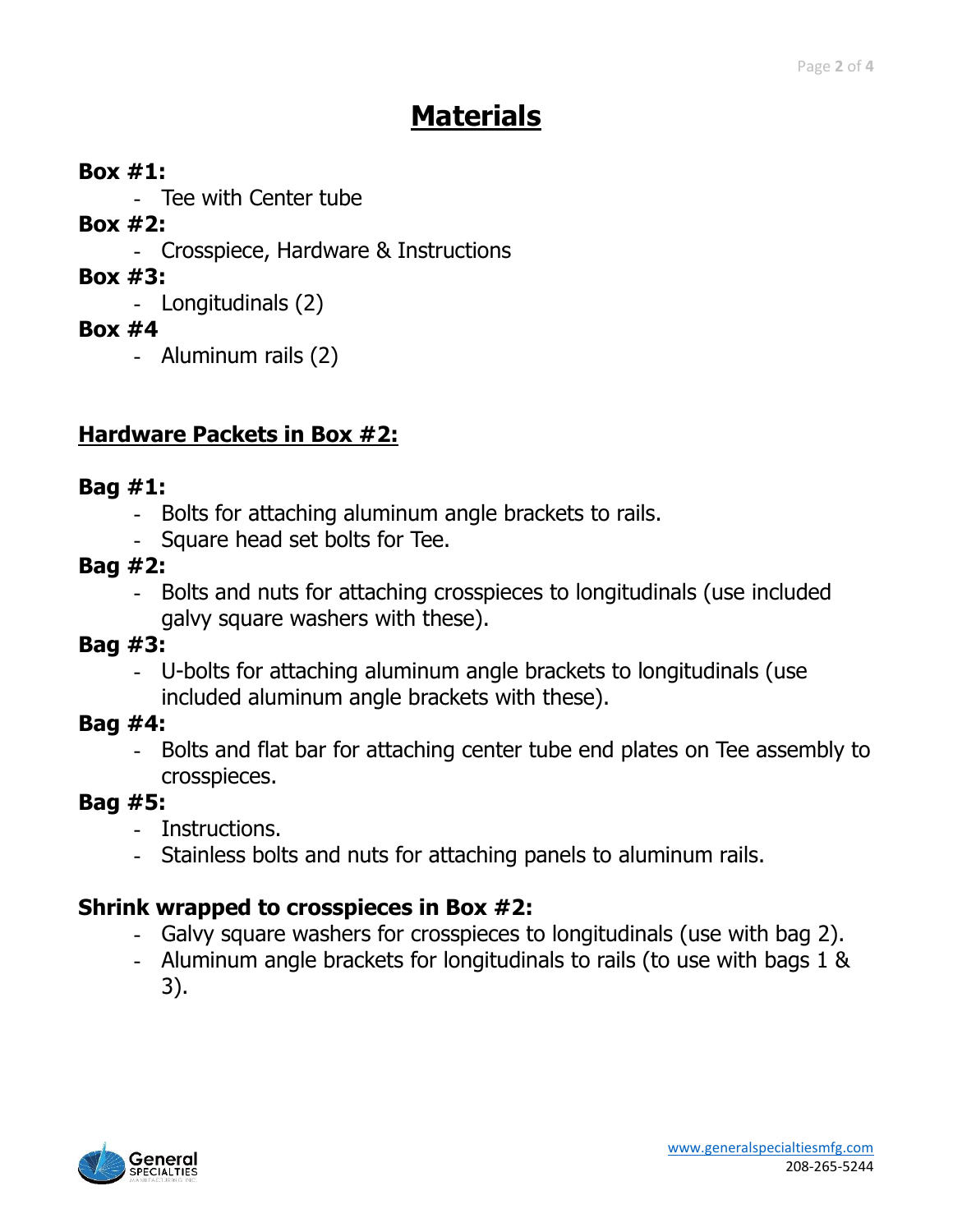# **Materials**

#### **Box #1:**

- Tee with Center tube

#### **Box #2:**

- Crosspiece, Hardware & Instructions

## **Box #3:**

- Longitudinals (2)

#### **Box #4**

- Aluminum rails (2)

## **Hardware Packets in Box #2:**

### **Bag #1:**

- Bolts for attaching aluminum angle brackets to rails.
- Square head set bolts for Tee.
- **Bag #2:**
	- Bolts and nuts for attaching crosspieces to longitudinals (use included galvy square washers with these).

### **Bag #3:**

- U-bolts for attaching aluminum angle brackets to longitudinals (use included aluminum angle brackets with these).

### **Bag #4:**

- Bolts and flat bar for attaching center tube end plates on Tee assembly to crosspieces.

### **Bag #5:**

- Instructions.
- Stainless bolts and nuts for attaching panels to aluminum rails.

### **Shrink wrapped to crosspieces in Box #2:**

- Galvy square washers for crosspieces to longitudinals (use with bag 2).
- Aluminum angle brackets for longitudinals to rails (to use with bags 1 & 3).

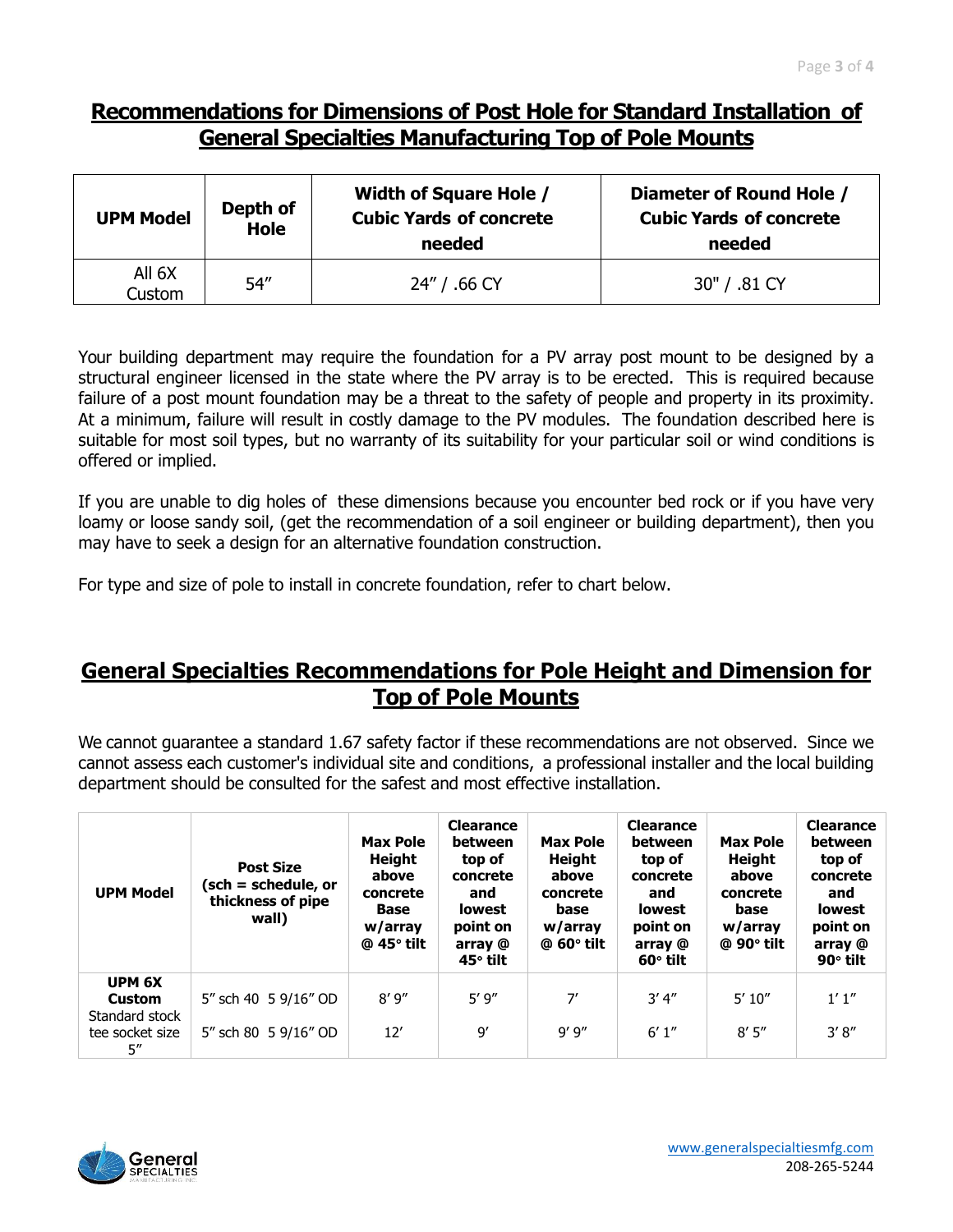#### **Recommendations for Dimensions of Post Hole for Standard Installation of General Specialties Manufacturing Top of Pole Mounts**

| <b>UPM Model</b> | Depth of<br><b>Hole</b> | <b>Width of Square Hole /</b><br><b>Cubic Yards of concrete</b><br>needed | Diameter of Round Hole /<br><b>Cubic Yards of concrete</b><br>needed |  |  |
|------------------|-------------------------|---------------------------------------------------------------------------|----------------------------------------------------------------------|--|--|
| All 6X<br>Custom | 54''                    | 24" / .66 CY                                                              | 30" / .81 CY                                                         |  |  |

Your building department may require the foundation for a PV array post mount to be designed by a structural engineer licensed in the state where the PV array is to be erected. This is required because failure of a post mount foundation may be a threat to the safety of people and property in its proximity. At a minimum, failure will result in costly damage to the PV modules. The foundation described here is suitable for most soil types, but no warranty of its suitability for your particular soil or wind conditions is offered or implied.

If you are unable to dig holes of these dimensions because you encounter bed rock or if you have very loamy or loose sandy soil, (get the recommendation of a soil engineer or building department), then you may have to seek a design for an alternative foundation construction.

For type and size of pole to install in concrete foundation, refer to chart below.

#### **General Specialties Recommendations for Pole Height and Dimension for Top of Pole Mounts**

We cannot guarantee a standard 1.67 safety factor if these recommendations are not observed. Since we cannot assess each customer's individual site and conditions, a professional installer and the local building department should be consulted for the safest and most effective installation.

| <b>UPM Model</b>       | <b>Post Size</b><br>(sch = schedule, or<br>thickness of pipe<br>wall) | <b>Max Pole</b><br><b>Height</b><br>above<br>concrete<br>Base<br>w/array<br>$@$ 45 $°$ tilt | <b>Clearance</b><br>between<br>top of<br>concrete<br>and<br><b>lowest</b><br>point on<br>array @<br>$45^\circ$ tilt | <b>Max Pole</b><br>Height<br>above<br>concrete<br>base<br>w/array<br>@ 60 $^{\circ}$ tilt | <b>Clearance</b><br>between<br>top of<br>concrete<br>and<br><b>lowest</b><br>point on<br>array @<br>$60^\circ$ tilt | <b>Max Pole</b><br><b>Height</b><br>above<br>concrete<br>base<br>w/array<br>$@90°$ tilt | <b>Clearance</b><br>between<br>top of<br>concrete<br>and<br><b>lowest</b><br>point on<br>array @<br>90° tilt |
|------------------------|-----------------------------------------------------------------------|---------------------------------------------------------------------------------------------|---------------------------------------------------------------------------------------------------------------------|-------------------------------------------------------------------------------------------|---------------------------------------------------------------------------------------------------------------------|-----------------------------------------------------------------------------------------|--------------------------------------------------------------------------------------------------------------|
| UPM 6X                 |                                                                       |                                                                                             |                                                                                                                     |                                                                                           |                                                                                                                     |                                                                                         |                                                                                                              |
| Custom                 | 5" sch 40 5 9/16" OD                                                  | 8'9''                                                                                       | 5'9''                                                                                                               | 7'                                                                                        | 3'4''                                                                                                               | 5'10''                                                                                  | 1'1''                                                                                                        |
| Standard stock         |                                                                       |                                                                                             |                                                                                                                     |                                                                                           |                                                                                                                     |                                                                                         |                                                                                                              |
| tee socket size<br>5'' | 5" sch 80 5 9/16" OD                                                  | 12'                                                                                         | $\mathsf{Q}'$                                                                                                       | 9'9''                                                                                     | 6'1''                                                                                                               | 8'5''                                                                                   | 3'8''                                                                                                        |